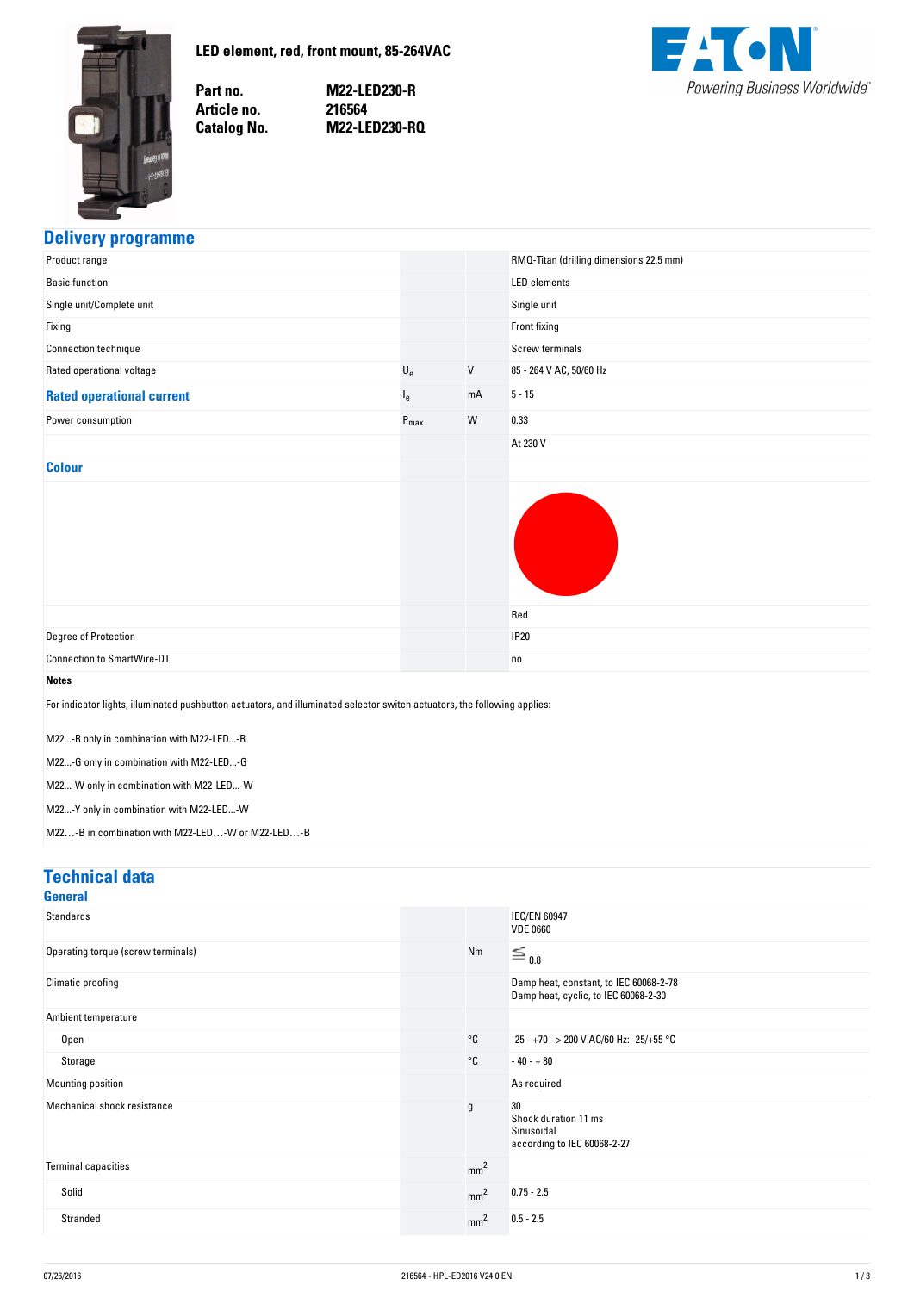<span id="page-0-0"></span>

Part no. Article no. **Catalog No.** 

**no. M22-LED230-R no. 216564 No. M22-LED230-RQ**



#### **Delivery-programme**

| Product range                                                                                                                                                                                                                                                                                                                                                                 |                           |         | RMQ-Titan (drilling dimensions 22.5 mm) |
|-------------------------------------------------------------------------------------------------------------------------------------------------------------------------------------------------------------------------------------------------------------------------------------------------------------------------------------------------------------------------------|---------------------------|---------|-----------------------------------------|
| <b>Basic function</b>                                                                                                                                                                                                                                                                                                                                                         |                           |         | <b>LED</b> elements                     |
| Single unit/Complete unit                                                                                                                                                                                                                                                                                                                                                     |                           |         | Single unit                             |
| Fixing                                                                                                                                                                                                                                                                                                                                                                        |                           |         | Front fixing                            |
| Connection technique                                                                                                                                                                                                                                                                                                                                                          |                           |         | <b>Screw terminals</b>                  |
| Rated operational voltage                                                                                                                                                                                                                                                                                                                                                     | $\mathsf{U}_{\mathrm{e}}$ | $\sf V$ | 85 - 264 V AC, 50/60 Hz                 |
| <b>Rated operational current</b>                                                                                                                                                                                                                                                                                                                                              | $I_{e}$                   | mA      | $5 - 15$                                |
| Power consumption                                                                                                                                                                                                                                                                                                                                                             | $P_{\text{max.}}$         | W       | 0.33                                    |
|                                                                                                                                                                                                                                                                                                                                                                               |                           |         | At 230 V                                |
| <b>Colour</b>                                                                                                                                                                                                                                                                                                                                                                 |                           |         |                                         |
|                                                                                                                                                                                                                                                                                                                                                                               |                           |         | Red                                     |
| Degree of Protection                                                                                                                                                                                                                                                                                                                                                          |                           |         | <b>IP20</b>                             |
| <b>Connection to SmartWire-DT</b>                                                                                                                                                                                                                                                                                                                                             |                           |         | no                                      |
| <b>Notes</b><br>For indicator lights, illuminated pushbutton actuators, and illuminated selector switch actuators, the following applies:<br>M22-R only in combination with M22-LED-R<br>M22-G only in combination with M22-LED-G<br>M22-W only in combination with M22-LED-W<br>M22-Y only in combination with M22-LED-W<br>M22-B in combination with M22-LED-W or M22-LED-B |                           |         |                                         |

#### **Technical-data**

| General                            |                 |                                                                                |
|------------------------------------|-----------------|--------------------------------------------------------------------------------|
| <b>Standards</b>                   |                 | <b>IEC/EN 60947</b><br><b>VDE 0660</b>                                         |
| Operating torque (screw terminals) | Nm              | $\equiv$ 0.8                                                                   |
| Climatic proofing                  |                 | Damp heat, constant, to IEC 60068-2-78<br>Damp heat, cyclic, to IEC 60068-2-30 |
| Ambient temperature                |                 |                                                                                |
| Open                               | $^{\circ}$ C    | -25 - +70 - > 200 V AC/60 Hz: -25/+55 °C                                       |
| Storage                            | °C              | $-40 - +80$                                                                    |
| Mounting position                  |                 | As required                                                                    |
| Mechanical shock resistance        | g               | 30<br>Shock duration 11 ms<br>Sinusoidal<br>according to IEC 60068-2-27        |
| <b>Terminal capacities</b>         | mm <sup>2</sup> |                                                                                |
| Solid                              | mm <sup>2</sup> | $0.75 - 2.5$                                                                   |
| Stranded                           | mm <sup>2</sup> | $0.5 - 2.5$                                                                    |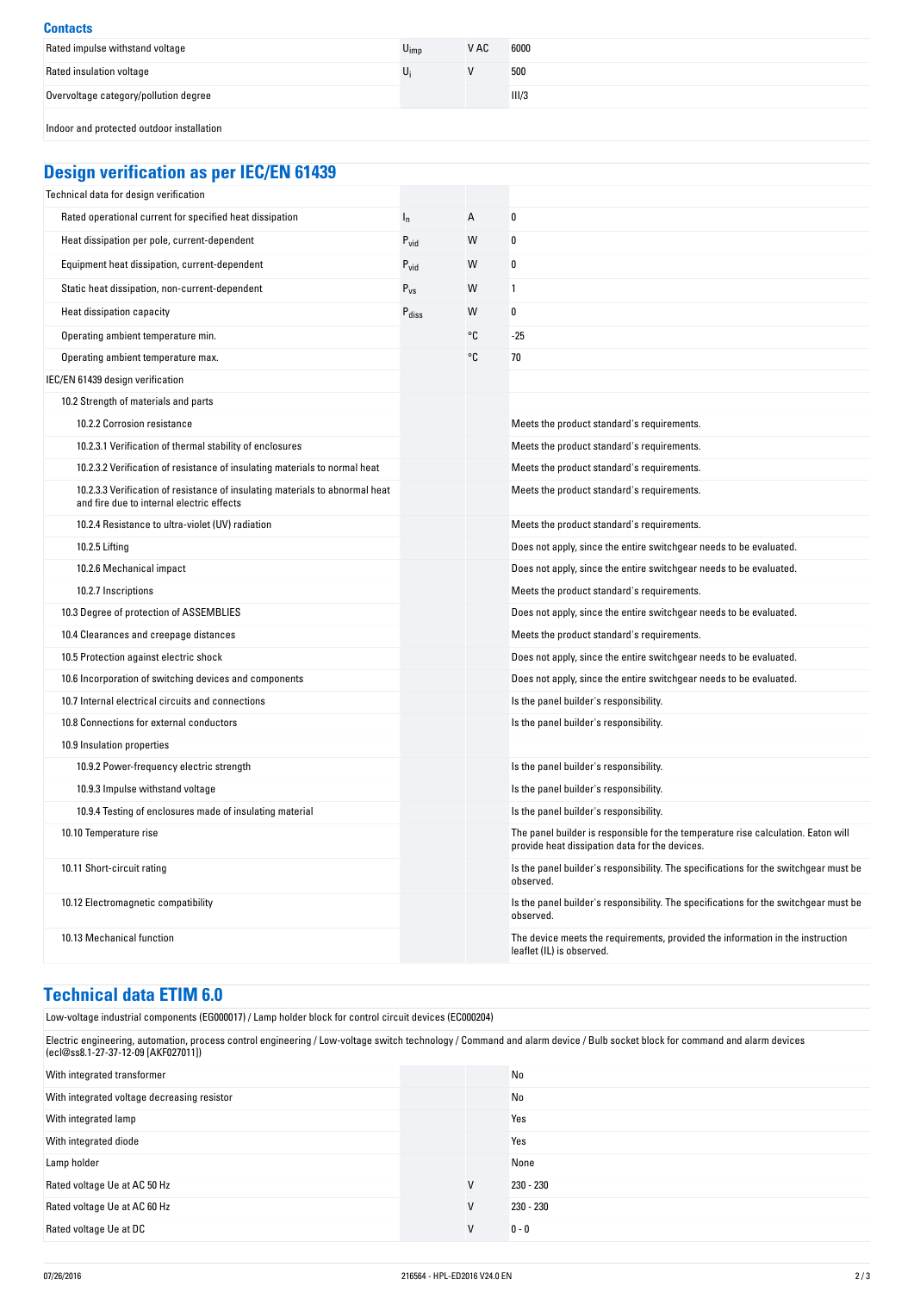| <b>Contacts</b>                           |                  |      |       |
|-------------------------------------------|------------------|------|-------|
| Rated impulse withstand voltage           | $U_{\text{imp}}$ | V AC | 6000  |
| Rated insulation voltage                  |                  |      | 500   |
| Overvoltage category/pollution degree     |                  |      | III/3 |
| Indoor and protected outdoor installation |                  |      |       |

# **Design-verification-as-per-IEC/EN-61439**

| Technical data for design verification                                                                                    |                   |    |                                                                                                                                     |
|---------------------------------------------------------------------------------------------------------------------------|-------------------|----|-------------------------------------------------------------------------------------------------------------------------------------|
| Rated operational current for specified heat dissipation                                                                  | $I_n$             | A  | 0                                                                                                                                   |
| Heat dissipation per pole, current-dependent                                                                              | $P_{vid}$         | W  | 0                                                                                                                                   |
| Equipment heat dissipation, current-dependent                                                                             | $P_{\text{vid}}$  | W  | 0                                                                                                                                   |
| Static heat dissipation, non-current-dependent                                                                            | $P_{VS}$          | W  | 1                                                                                                                                   |
| Heat dissipation capacity                                                                                                 | $P_{\text{diss}}$ | W  | 0                                                                                                                                   |
| Operating ambient temperature min.                                                                                        |                   | °C | $-25$                                                                                                                               |
| Operating ambient temperature max.                                                                                        |                   | °C | 70                                                                                                                                  |
| IEC/EN 61439 design verification                                                                                          |                   |    |                                                                                                                                     |
| 10.2 Strength of materials and parts                                                                                      |                   |    |                                                                                                                                     |
| 10.2.2 Corrosion resistance                                                                                               |                   |    | Meets the product standard's requirements.                                                                                          |
| 10.2.3.1 Verification of thermal stability of enclosures                                                                  |                   |    | Meets the product standard's requirements.                                                                                          |
| 10.2.3.2 Verification of resistance of insulating materials to normal heat                                                |                   |    | Meets the product standard's requirements.                                                                                          |
| 10.2.3.3 Verification of resistance of insulating materials to abnormal heat<br>and fire due to internal electric effects |                   |    | Meets the product standard's requirements.                                                                                          |
| 10.2.4 Resistance to ultra-violet (UV) radiation                                                                          |                   |    | Meets the product standard's requirements.                                                                                          |
| 10.2.5 Lifting                                                                                                            |                   |    | Does not apply, since the entire switchgear needs to be evaluated.                                                                  |
| 10.2.6 Mechanical impact                                                                                                  |                   |    | Does not apply, since the entire switchgear needs to be evaluated.                                                                  |
| 10.2.7 Inscriptions                                                                                                       |                   |    | Meets the product standard's requirements.                                                                                          |
| 10.3 Degree of protection of ASSEMBLIES                                                                                   |                   |    | Does not apply, since the entire switchgear needs to be evaluated.                                                                  |
| 10.4 Clearances and creepage distances                                                                                    |                   |    | Meets the product standard's requirements.                                                                                          |
| 10.5 Protection against electric shock                                                                                    |                   |    | Does not apply, since the entire switchgear needs to be evaluated.                                                                  |
| 10.6 Incorporation of switching devices and components                                                                    |                   |    | Does not apply, since the entire switchgear needs to be evaluated.                                                                  |
| 10.7 Internal electrical circuits and connections                                                                         |                   |    | Is the panel builder's responsibility.                                                                                              |
| 10.8 Connections for external conductors                                                                                  |                   |    | Is the panel builder's responsibility.                                                                                              |
| 10.9 Insulation properties                                                                                                |                   |    |                                                                                                                                     |
| 10.9.2 Power-frequency electric strength                                                                                  |                   |    | Is the panel builder's responsibility.                                                                                              |
| 10.9.3 Impulse withstand voltage                                                                                          |                   |    | Is the panel builder's responsibility.                                                                                              |
| 10.9.4 Testing of enclosures made of insulating material                                                                  |                   |    | Is the panel builder's responsibility.                                                                                              |
| 10.10 Temperature rise                                                                                                    |                   |    | The panel builder is responsible for the temperature rise calculation. Eaton will<br>provide heat dissipation data for the devices. |
| 10.11 Short-circuit rating                                                                                                |                   |    | Is the panel builder's responsibility. The specifications for the switchgear must be<br>observed.                                   |
| 10.12 Electromagnetic compatibility                                                                                       |                   |    | Is the panel builder's responsibility. The specifications for the switchgear must be<br>observed.                                   |
| 10.13 Mechanical function                                                                                                 |                   |    | The device meets the requirements, provided the information in the instruction<br>leaflet (IL) is observed.                         |

# **Technical-data-ETIM-6.0**

| Low-voltage industrial components (EG000017) / Lamp holder block for control circuit devices (EC000204)                                                                                                           |   |             |  |
|-------------------------------------------------------------------------------------------------------------------------------------------------------------------------------------------------------------------|---|-------------|--|
| Electric engineering, automation, process control engineering / Low-voltage switch technology / Command and alarm device / Bulb socket block for command and alarm devices<br>(ecl@ss8.1-27-37-12-09 [AKF027011]) |   |             |  |
| With integrated transformer                                                                                                                                                                                       |   | No          |  |
| With integrated voltage decreasing resistor                                                                                                                                                                       |   | No          |  |
| With integrated lamp                                                                                                                                                                                              |   | Yes         |  |
| With integrated diode                                                                                                                                                                                             |   | Yes         |  |
| Lamp holder                                                                                                                                                                                                       |   | None        |  |
| Rated voltage Ue at AC 50 Hz                                                                                                                                                                                      | V | 230 - 230   |  |
| Rated voltage Ue at AC 60 Hz                                                                                                                                                                                      | V | $230 - 230$ |  |
| Rated voltage Ue at DC                                                                                                                                                                                            | V | $0 - 0$     |  |